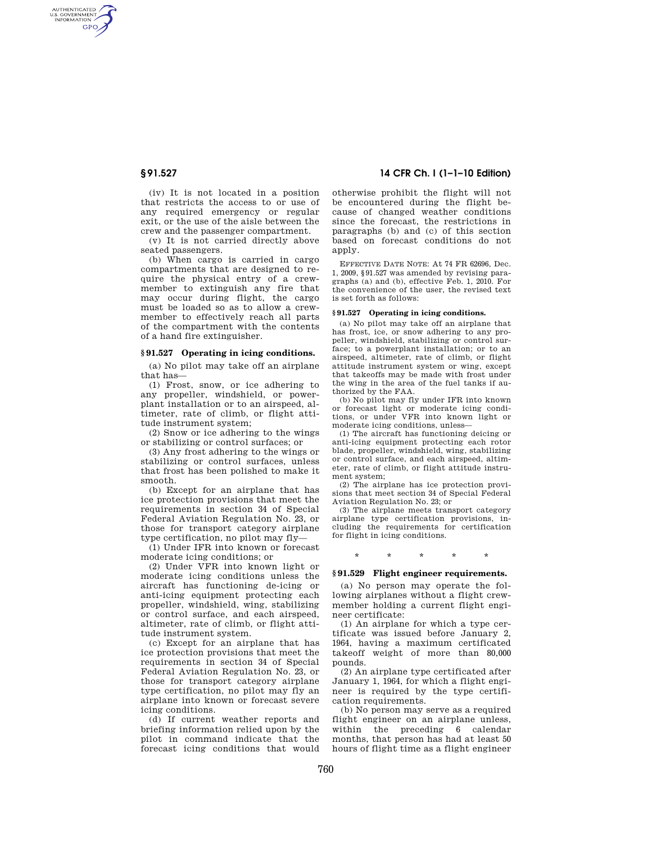AUTHENTICATED<br>U.S. GOVERNMENT<br>INFORMATION **GPO** 

> (iv) It is not located in a position that restricts the access to or use of any required emergency or regular exit, or the use of the aisle between the crew and the passenger compartment.

(v) It is not carried directly above seated passengers.

(b) When cargo is carried in cargo compartments that are designed to require the physical entry of a crewmember to extinguish any fire that may occur during flight, the cargo must be loaded so as to allow a crewmember to effectively reach all parts of the compartment with the contents of a hand fire extinguisher.

#### **§ 91.527 Operating in icing conditions.**

(a) No pilot may take off an airplane that has—

(1) Frost, snow, or ice adhering to any propeller, windshield, or powerplant installation or to an airspeed, altimeter, rate of climb, or flight attitude instrument system;

(2) Snow or ice adhering to the wings or stabilizing or control surfaces; or

(3) Any frost adhering to the wings or stabilizing or control surfaces, unless that frost has been polished to make it smooth.

(b) Except for an airplane that has ice protection provisions that meet the requirements in section 34 of Special Federal Aviation Regulation No. 23, or those for transport category airplane type certification, no pilot may fly—

(1) Under IFR into known or forecast moderate icing conditions; or

(2) Under VFR into known light or moderate icing conditions unless the aircraft has functioning de-icing or anti-icing equipment protecting each propeller, windshield, wing, stabilizing or control surface, and each airspeed, altimeter, rate of climb, or flight attitude instrument system.

(c) Except for an airplane that has ice protection provisions that meet the requirements in section 34 of Special Federal Aviation Regulation No. 23, or those for transport category airplane type certification, no pilot may fly an airplane into known or forecast severe icing conditions.

(d) If current weather reports and briefing information relied upon by the pilot in command indicate that the forecast icing conditions that would

# **§ 91.527 14 CFR Ch. I (1–1–10 Edition)**

otherwise prohibit the flight will not be encountered during the flight because of changed weather conditions since the forecast, the restrictions in paragraphs (b) and (c) of this section based on forecast conditions do not apply

EFFECTIVE DATE NOTE: At 74 FR 62696, Dec. 1, 2009, §91.527 was amended by revising paragraphs (a) and (b), effective Feb. 1, 2010. For the convenience of the user, the revised text is set forth as follows:

#### **§ 91.527 Operating in icing conditions.**

(a) No pilot may take off an airplane that has frost, ice, or snow adhering to any propeller, windshield, stabilizing or control surface; to a powerplant installation; or to an airspeed, altimeter, rate of climb, or flight attitude instrument system or wing, except that takeoffs may be made with frost under the wing in the area of the fuel tanks if authorized by the FAA.

(b) No pilot may fly under IFR into known or forecast light or moderate icing conditions, or under VFR into known light or moderate icing conditions, unless—

(1) The aircraft has functioning deicing or anti-icing equipment protecting each rotor blade, propeller, windshield, wing, stabilizing or control surface, and each airspeed, altimeter, rate of climb, or flight attitude instrument system;

(2) The airplane has ice protection provisions that meet section 34 of Special Federal Aviation Regulation No. 23; or

(3) The airplane meets transport category airplane type certification provisions, including the requirements for certification for flight in icing conditions.

# \* \* \* \* \*

## **§ 91.529 Flight engineer requirements.**

(a) No person may operate the following airplanes without a flight crewmember holding a current flight engineer certificate:

(1) An airplane for which a type certificate was issued before January 2, 1964, having a maximum certificated takeoff weight of more than 80,000 pounds.

(2) An airplane type certificated after January 1, 1964, for which a flight engineer is required by the type certification requirements.

(b) No person may serve as a required flight engineer on an airplane unless, within the preceding 6 calendar months, that person has had at least 50 hours of flight time as a flight engineer